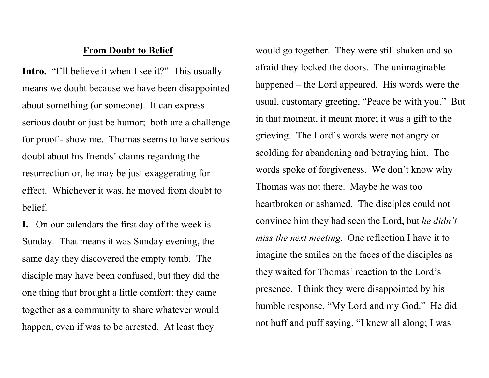## From Doubt to Belief

Intro. "I'll believe it when I see it?" This usually means we doubt because we have been disappointed about something (or someone). It can express serious doubt or just be humor; both are a challenge for proof - show me. Thomas seems to have serious doubt about his friends' claims regarding the resurrection or, he may be just exaggerating for effect. Whichever it was, he moved from doubt to belief.

I. On our calendars the first day of the week is Sunday. That means it was Sunday evening, the same day they discovered the empty tomb. The disciple may have been confused, but they did the one thing that brought a little comfort: they came together as a community to share whatever would happen, even if was to be arrested. At least they

would go together. They were still shaken and so afraid they locked the doors. The unimaginable happened – the Lord appeared. His words were the usual, customary greeting, "Peace be with you." But in that moment, it meant more; it was a gift to the grieving. The Lord's words were not angry or scolding for abandoning and betraying him. The words spoke of forgiveness. We don't know why Thomas was not there. Maybe he was too heartbroken or ashamed. The disciples could not convince him they had seen the Lord, but he didn't miss the next meeting. One reflection I have it to imagine the smiles on the faces of the disciples as they waited for Thomas' reaction to the Lord's presence. I think they were disappointed by his humble response, "My Lord and my God." He did not huff and puff saying, "I knew all along; I was